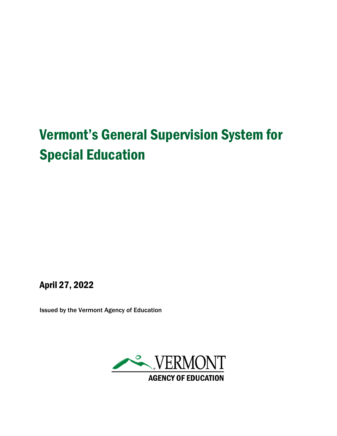# Vermont's General Supervision System for Special Education

April 27, 2022

Issued by the Vermont Agency of Education

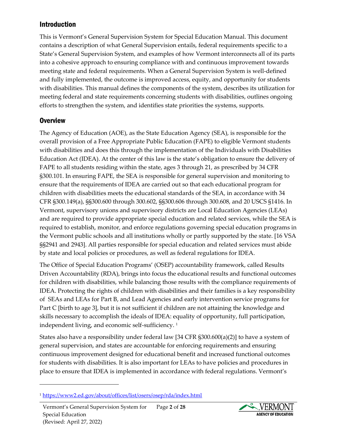# Introduction

This is Vermont's General Supervision System for Special Education Manual. This document contains a description of what General Supervision entails, federal requirements specific to a State's General Supervision System, and examples of how Vermont interconnects all of its parts into a cohesive approach to ensuring compliance with and continuous improvement towards meeting state and federal requirements. When a General Supervision System is well-defined and fully implemented, the outcome is improved access, equity, and opportunity for students with disabilities. This manual defines the components of the system, describes its utilization for meeting federal and state requirements concerning students with disabilities, outlines ongoing efforts to strengthen the system, and identifies state priorities the systems, supports.

## **Overview**

The Agency of Education (AOE), as the State Education Agency (SEA), is responsible for the overall provision of a Free Appropriate Public Education (FAPE) to eligible Vermont students with disabilities and does this through the implementation of the Individuals with Disabilities Education Act (IDEA). At the center of this law is the state's obligation to ensure the delivery of FAPE to all students residing within the state, ages 3 through 21, as prescribed by 34 CFR §300.101. In ensuring FAPE, the SEA is responsible for general supervision and monitoring to ensure that the requirements of IDEA are carried out so that each educational program for children with disabilities meets the educational standards of the SEA, in accordance with 34 CFR §300.149(a), §§300.600 through 300.602, §§300.606 through 300.608, and 20 USCS §1416. In Vermont, supervisory unions and supervisory districts are Local Education Agencies (LEAs) and are required to provide appropriate special education and related services, while the SEA is required to establish, monitor, and enforce regulations governing special education programs in the Vermont public schools and all institutions wholly or partly supported by the state. [16 VSA §§2941 and 2943]. All parties responsible for special education and related services must abide by state and local policies or procedures, as well as federal regulations for IDEA.

The Office of Special Education Programs' (OSEP) accountability framework, called Results Driven Accountability (RDA), brings into focus the educational results and functional outcomes for children with disabilities, while balancing those results with the compliance requirements of IDEA. Protecting the rights of children with disabilities and their families is a key responsibility of SEAs and LEAs for Part B, and Lead Agencies and early intervention service programs for Part C [birth to age 3], but it is not sufficient if children are not attaining the knowledge and skills necessary to accomplish the ideals of IDEA: equality of opportunity, full participation, independent living, and economic self-sufficiency. 1

States also have a responsibility under federal law [34 CFR §300.600(a)(2)] to have a system of general supervision, and states are accountable for enforcing requirements and ensuring continuous improvement designed for educational benefit and increased functional outcomes for students with disabilities. It is also important for LEAs to have policies and procedures in place to ensure that IDEA is implemented in accordance with federal regulations. Vermont's



<sup>1</sup> <https://www2.ed.gov/about/offices/list/osers/osep/rda/index.html>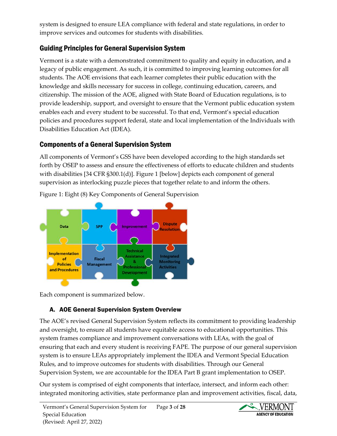system is designed to ensure LEA compliance with federal and state regulations, in order to improve services and outcomes for students with disabilities.

# Guiding Principles for General Supervision System

Vermont is a state with a demonstrated commitment to quality and equity in education, and a legacy of public engagement. As such, it is committed to improving learning outcomes for all students. The AOE envisions that each learner completes their public education with the knowledge and skills necessary for success in college, continuing education, careers, and citizenship. The mission of the AOE, aligned with State Board of Education regulations, is to provide leadership, support, and oversight to ensure that the Vermont public education system enables each and every student to be successful. To that end, Vermont's special education policies and procedures support federal, state and local implementation of the Individuals with Disabilities Education Act (IDEA).

# Components of a General Supervision System

All components of Vermont's GSS have been developed according to the high standards set forth by OSEP to assess and ensure the effectiveness of efforts to educate children and students with disabilities [34 CFR §300.1(d)]. Figure 1 [below] depicts each component of general supervision as interlocking puzzle pieces that together relate to and inform the others.



Figure 1: Eight (8) Key Components of General Supervision

Each component is summarized below.

# A. AOE General Supervision System Overview

The AOE's revised General Supervision System reflects its commitment to providing leadership and oversight, to ensure all students have equitable access to educational opportunities. This system frames compliance and improvement conversations with LEAs, with the goal of ensuring that each and every student is receiving FAPE. The purpose of our general supervision system is to ensure LEAs appropriately implement the IDEA and Vermont Special Education Rules, and to improve outcomes for students with disabilities. Through our General Supervision System, we are accountable for the IDEA Part B grant implementation to OSEP.

Our system is comprised of eight components that interface, intersect, and inform each other: integrated monitoring activities, state performance plan and improvement activities, fiscal, data,

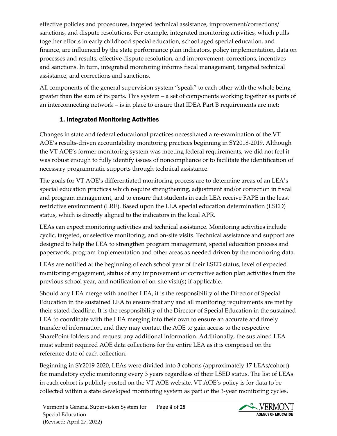effective policies and procedures, targeted technical assistance, improvement/corrections/ sanctions, and dispute resolutions. For example, integrated monitoring activities, which pulls together efforts in early childhood special education, school aged special education, and finance, are influenced by the state performance plan indicators, policy implementation, data on processes and results, effective dispute resolution, and improvement, corrections, incentives and sanctions. In turn, integrated monitoring informs fiscal management, targeted technical assistance, and corrections and sanctions.

All components of the general supervision system "speak" to each other with the whole being greater than the sum of its parts. This system – a set of components working together as parts of an interconnecting network – is in place to ensure that IDEA Part B requirements are met:

# 1. Integrated Monitoring Activities

Changes in state and federal educational practices necessitated a re-examination of the VT AOE's results-driven accountability monitoring practices beginning in SY2018-2019. Although the VT AOE's former monitoring system was meeting federal requirements, we did not feel it was robust enough to fully identify issues of noncompliance or to facilitate the identification of necessary programmatic supports through technical assistance.

The goals for VT AOE's differentiated monitoring process are to determine areas of an LEA's special education practices which require strengthening, adjustment and/or correction in fiscal and program management, and to ensure that students in each LEA receive FAPE in the least restrictive environment (LRE). Based upon the LEA special education determination (LSED) status, which is directly aligned to the indicators in the local APR.

LEAs can expect monitoring activities and technical assistance. Monitoring activities include cyclic, targeted, or selective monitoring, and on-site visits. Technical assistance and support are designed to help the LEA to strengthen program management, special education process and paperwork, program implementation and other areas as needed driven by the monitoring data.

LEAs are notified at the beginning of each school year of their LSED status, level of expected monitoring engagement, status of any improvement or corrective action plan activities from the previous school year, and notification of on-site visit(s) if applicable.

Should any LEA merge with another LEA, it is the responsibility of the Director of Special Education in the sustained LEA to ensure that any and all monitoring requirements are met by their stated deadline. It is the responsibility of the Director of Special Education in the sustained LEA to coordinate with the LEA merging into their own to ensure an accurate and timely transfer of information, and they may contact the AOE to gain access to the respective SharePoint folders and request any additional information. Additionally, the sustained LEA must submit required AOE data collections for the entire LEA as it is comprised on the reference date of each collection.

Beginning in SY2019-2020, LEAs were divided into 3 cohorts (approximately 17 LEAs/cohort) for mandatory cyclic monitoring every 3 years regardless of their LSED status. The list of LEAs in each cohort is publicly posted on the VT AOE website. VT AOE's policy is for data to be collected within a state developed monitoring system as part of the 3-year monitoring cycles.

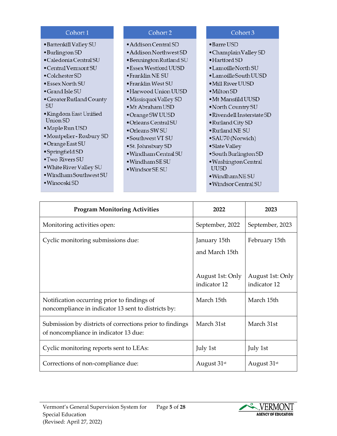| Cohort 1                     | Cohort 2                     | Cohort 3                           |
|------------------------------|------------------------------|------------------------------------|
| • Battenkill Valley SU       | $\bullet$ Addison Central SD | $\bullet$ Barre USD                |
| $\bullet$ Burlington SD      | • Addison Northwest SD       | • Champlain Valley SD              |
| · Caledonia Central SU       | • Bennington Rutland SU      | $\bullet$ Hartford SD              |
| $\bullet$ Central Vermont SU | • Essex Westford UUSD        | $\bullet$ Lamoille North SU        |
| $\bullet$ Colchester SD      | $\bullet$ Franklin NE SU     | $\bullet$ Lamoille South UUSD      |
| $\bullet$ Essex North SU     | $\bullet$ Franklin West SU   | • Mill River UUSD                  |
| $\bullet$ Grand Isle SU      | $\bullet$ Harwood Union UUSD | $\bullet$ Milton SD                |
| • Greater Rutland County     | • Missisquoi Valley SD       | $\bullet$ Mt Mansfild UUSD         |
| <b>SU</b>                    | $\bullet$ Mt Abraham USD     | • North Country SU                 |
| • Kingdom East Unified       | • Orange SW UUSD             | $\bullet$ Rivendell Insterstate SD |
| Union SD                     | $\bullet$ Orleans Central SU | • Rutland City SD                  |
| • Maple Run USD              | $\bullet$ Orleans SW SU      | · Rutland NE SU                    |
| • Montpelier - Roxbury SD    | $\bullet$ Southwest VT SU    | •SAU70 (Norwich)                   |
| • Orange East SU             | • St. Johnsbury SD           | • Slate Valley                     |
| • Springfield SD             | · Windham Central SU         | • South Burlington SD              |
| • Two Rivers SU              | $\bullet$ Windham SE SU      | · Washington Central               |
| • White River Valley SU      | $\bullet$ Windsor SE SU      | <b>UUSD</b>                        |
|                              |                              | · Windham NE SU                    |
| $\bullet$ Winooski SD        |                              | · Windsor Central SU               |
| · Windham Southwest SU       |                              |                                    |

| <b>Program Monitoring Activities</b>                                                               | 2022                                                               | 2023                                              |
|----------------------------------------------------------------------------------------------------|--------------------------------------------------------------------|---------------------------------------------------|
| Monitoring activities open:                                                                        | September, 2022                                                    | September, 2023                                   |
| Cyclic monitoring submissions due:                                                                 | January 15th<br>and March 15th<br>August 1st: Only<br>indicator 12 | February 15th<br>August 1st: Only<br>indicator 12 |
| Notification occurring prior to findings of<br>noncompliance in indicator 13 sent to districts by: | March 15th                                                         | March 15th                                        |
| Submission by districts of corrections prior to findings<br>of noncompliance in indicator 13 due:  | March 31st                                                         | March 31st                                        |
| Cyclic monitoring reports sent to LEAs:                                                            | July 1st                                                           | July 1st                                          |
| Corrections of non-compliance due:                                                                 | August 31 <sup>st</sup>                                            | August 31 <sup>st</sup>                           |

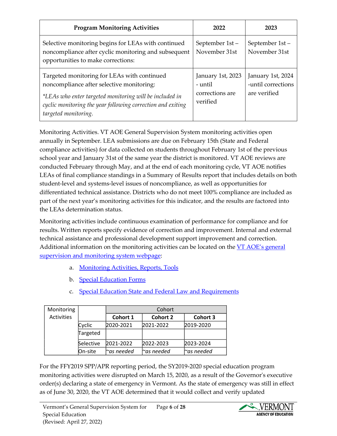| <b>Program Monitoring Activities</b>                                                                                                                                                                                                       | 2022                                                        | 2023                                                    |
|--------------------------------------------------------------------------------------------------------------------------------------------------------------------------------------------------------------------------------------------|-------------------------------------------------------------|---------------------------------------------------------|
| Selective monitoring begins for LEAs with continued<br>noncompliance after cyclic monitoring and subsequent<br>opportunities to make corrections:                                                                                          | September 1st-<br>November 31st                             | September 1st-<br>November 31st                         |
| Targeted monitoring for LEAs with continued<br>noncompliance after selective monitoring:<br>*LEAs who enter targeted monitoring will be included in<br>cyclic monitoring the year following correction and exiting<br>targeted monitoring. | January 1st, 2023<br>- until<br>corrections are<br>verified | January 1st, 2024<br>-until corrections<br>are verified |

Monitoring Activities. VT AOE General Supervision System monitoring activities open annually in September. LEA submissions are due on February 15th (State and Federal compliance activities) for data collected on students throughout February 1st of the previous school year and January 31st of the same year the district is monitored. VT AOE reviews are conducted February through May, and at the end of each monitoring cycle, VT AOE notifies LEAs of final compliance standings in a Summary of Results report that includes details on both student-level and systems-level issues of noncompliance, as well as opportunities for differentiated technical assistance. Districts who do not meet 100% compliance are included as part of the next year's monitoring activities for this indicator, and the results are factored into the LEAs determination status.

Monitoring activities include continuous examination of performance for compliance and for results. Written reports specify evidence of correction and improvement. Internal and external technical assistance and professional development support improvement and correction. Additional information on the monitoring activities can be located on the [VT AOE's general](https://education.vermont.gov/student-support/vermont-special-education/general-supervision-and-monitoring-system)  [supervision and monitoring system webpage:](https://education.vermont.gov/student-support/vermont-special-education/general-supervision-and-monitoring-system)

- a. [Monitoring Activities, Reports, Tools](https://www2.ed.gov/about/offices/list/osers/osep/rda/index.html)
- b. [Special Education Forms](https://education.vermont.gov/student-support/vermont-special-education/special-education-forms)
- c. [Special Education State and Federal Law and Requirements](https://education.vermont.gov/student-support/vermont-special-education/state-and-federal-laws-and-requirements)

| Monitoring |           | Cohort           |                  |                  |  |
|------------|-----------|------------------|------------------|------------------|--|
| Activities |           | Cohort 1         | <b>Cohort 2</b>  | Cohort 3         |  |
|            | Cyclic    | 2020-2021        | 2021-2022        | 2019-2020        |  |
|            | Targeted  |                  |                  |                  |  |
|            | Selective | 2021-2022        | 2022-2023        | 2023-2024        |  |
|            | On-site   | $\sim$ as needed | $\sim$ as needed | $\sim$ as needed |  |

For the FFY2019 SPP/APR reporting period, the SY2019-2020 special education program monitoring activities were disrupted on March 15, 2020, as a result of the Governor's executive order(s) declaring a state of emergency in Vermont. As the state of emergency was still in effect as of June 30, 2020, the VT AOE determined that it would collect and verify updated

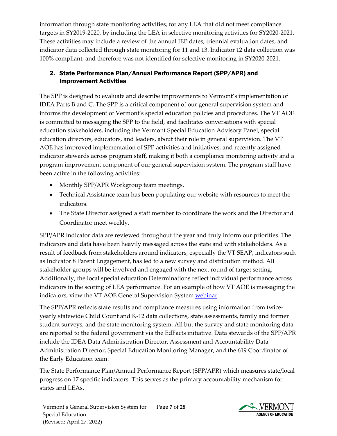information through state monitoring activities, for any LEA that did not meet compliance targets in SY2019-2020, by including the LEA in selective monitoring activities for SY2020-2021. These activities may include a review of the annual IEP dates, triennial evaluation dates, and indicator data collected through state monitoring for 11 and 13. Indicator 12 data collection was 100% compliant, and therefore was not identified for selective monitoring in SY2020-2021.

## 2. State Performance Plan/Annual Performance Report (SPP/APR) and Improvement Activities

The SPP is designed to evaluate and describe improvements to Vermont's implementation of IDEA Parts B and C. The SPP is a critical component of our general supervision system and informs the development of Vermont's special education policies and procedures. The VT AOE is committed to messaging the SPP to the field, and facilitates conversations with special education stakeholders, including the Vermont Special Education Advisory Panel, special education directors, educators, and leaders, about their role in general supervision. The VT AOE has improved implementation of SPP activities and initiatives, and recently assigned indicator stewards across program staff, making it both a compliance monitoring activity and a program improvement component of our general supervision system. The program staff have been active in the following activities:

- Monthly SPP/APR Workgroup team meetings.
- Technical Assistance team has been populating our website with resources to meet the indicators.
- The State Director assigned a staff member to coordinate the work and the Director and Coordinator meet weekly.

SPP/APR indicator data are reviewed throughout the year and truly inform our priorities. The indicators and data have been heavily messaged across the state and with stakeholders. As a result of feedback from stakeholders around indicators, especially the VT SEAP, indicators such as Indicator 8 Parent Engagement, has led to a new survey and distribution method. All stakeholder groups will be involved and engaged with the next round of target setting. Additionally, the local special education Determinations reflect individual performance across indicators in the scoring of LEA performance. For an example of how VT AOE is messaging the indicators, view the VT AOE General Supervision System [webinar.](https://education.vermont.gov/student-support/vermont-special-education/recent-guidance-news-and-events#state-performance)

The SPP/APR reflects state results and compliance measures using information from twiceyearly statewide Child Count and K-12 data collections, state assessments, family and former student surveys, and the state monitoring system. All but the survey and state monitoring data are reported to the federal government via the EdFacts initiative. Data stewards of the SPP/APR include the IDEA Data Administration Director, Assessment and Accountability Data Administration Director, Special Education Monitoring Manager, and the 619 Coordinator of the Early Education team.

The State Performance Plan/Annual Performance Report (SPP/APR) which measures state/local progress on 17 specific indicators. This serves as the primary accountability mechanism for states and LEAs.

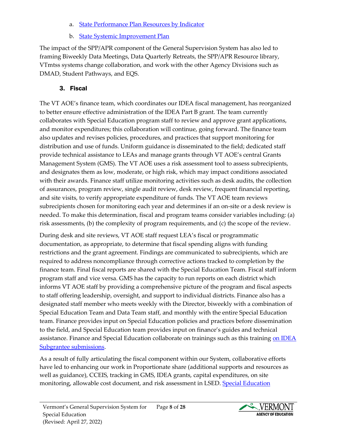- **[State Performance Plan Resources by Indicator](https://education.vermont.gov/student-support/vermont-special-education/technical-assistance-requests-and-professional-development/state-performance-plan-resources-by-indicator)**
- b. [State Systemic Improvement Plan](https://education.vermont.gov/student-support/vermont-special-education/state-systemic-improvement-plan)

The impact of the SPP/APR component of the General Supervision System has also led to framing Biweekly Data Meetings, Data Quarterly Retreats, the SPP/APR Resource library, VTmtss systems change collaboration, and work with the other Agency Divisions such as DMAD, Student Pathways, and EQS.

# 3. Fiscal

The VT AOE's finance team, which coordinates our IDEA fiscal management, has reorganized to better ensure effective administration of the IDEA Part B grant. The team currently collaborates with Special Education program staff to review and approve grant applications, and monitor expenditures; this collaboration will continue, going forward. The finance team also updates and revises policies, procedures, and practices that support monitoring for distribution and use of funds. Uniform guidance is disseminated to the field; dedicated staff provide technical assistance to LEAs and manage grants through VT AOE's central Grants Management System (GMS). The VT AOE uses a risk assessment tool to assess subrecipients, and designates them as low, moderate, or high risk, which may impact conditions associated with their awards. Finance staff utilize monitoring activities such as desk audits, the collection of assurances, program review, single audit review, desk review, frequent financial reporting, and site visits, to verify appropriate expenditure of funds. The VT AOE team reviews subrecipients chosen for monitoring each year and determines if an on-site or a desk review is needed. To make this determination, fiscal and program teams consider variables including: (a) risk assessments, (b) the complexity of program requirements, and (c) the scope of the review.

During desk and site reviews, VT AOE staff request LEA's fiscal or programmatic documentation, as appropriate, to determine that fiscal spending aligns with funding restrictions and the grant agreement. Findings are communicated to subrecipients, which are required to address noncompliance through corrective actions tracked to completion by the finance team. Final fiscal reports are shared with the Special Education Team. Fiscal staff inform program staff and vice versa. GMS has the capacity to run reports on each district which informs VT AOE staff by providing a comprehensive picture of the program and fiscal aspects to staff offering leadership, oversight, and support to individual districts. Finance also has a designated staff member who meets weekly with the Director, biweekly with a combination of Special Education Team and Data Team staff, and monthly with the entire Special Education team. Finance provides input on Special Education policies and practices before dissemination to the field, and Special Education team provides input on finance's guides and technical assistance. Finance and Special Education collaborate on trainings such as this training on IDEA [Subgrantee submissions.](https://www.youtube.com/watch?v=b2dHIhPn-yY)

As a result of fully articulating the fiscal component within our System, collaborative efforts have led to enhancing our work in Proportionate share (additional supports and resources as well as guidance), CCEIS, tracking in GMS, IDEA grants, capital expenditures, on site monitoring, allowable cost document, and risk assessment in LSED. Special Education

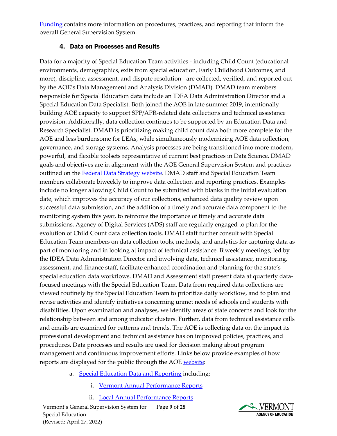[Funding](https://education.vermont.gov/student-support/vermont-special-education/funding) contains more information on procedures, practices, and reporting that inform the overall General Supervision System.

#### 4. Data on Processes and Results

Data for a majority of Special Education Team activities - including Child Count (educational environments, demographics, exits from special education, Early Childhood Outcomes, and more), discipline, assessment, and dispute resolution - are collected, verified, and reported out by the AOE's Data Management and Analysis Division (DMAD). DMAD team members responsible for Special Education data include an IDEA Data Administration Director and a Special Education Data Specialist. Both joined the AOE in late summer 2019, intentionally building AOE capacity to support SPP/APR-related data collections and technical assistance provision. Additionally, data collection continues to be supported by an Education Data and Research Specialist. DMAD is prioritizing making child count data both more complete for the AOE and less burdensome for LEAs, while simultaneously modernizing AOE data collection, governance, and storage systems. Analysis processes are being transitioned into more modern, powerful, and flexible toolsets representative of current best practices in Data Science. DMAD goals and objectives are in alignment with the AOE General Supervision System and practices outlined on the [Federal Data Strategy website.](https://strategy.data.gov/) DMAD staff and Special Education Team members collaborate biweekly to improve data collection and reporting practices. Examples include no longer allowing Child Count to be submitted with blanks in the initial evaluation date, which improves the accuracy of our collections, enhanced data quality review upon successful data submission, and the addition of a timely and accurate data component to the monitoring system this year, to reinforce the importance of timely and accurate data submissions. Agency of Digital Services (ADS) staff are regularly engaged to plan for the evolution of Child Count data collection tools. DMAD staff further consult with Special Education Team members on data collection tools, methods, and analytics for capturing data as part of monitoring and in looking at impact of technical assistance. Biweekly meetings, led by the IDEA Data Administration Director and involving data, technical assistance, monitoring, assessment, and finance staff, facilitate enhanced coordination and planning for the state's special education data workflows. DMAD and Assessment staff present data at quarterly datafocused meetings with the Special Education Team. Data from required data collections are viewed routinely by the Special Education Team to prioritize daily workflow, and to plan and revise activities and identify initiatives concerning unmet needs of schools and students with disabilities. Upon examination and analyses, we identify areas of state concerns and look for the relationship between and among indicator clusters. Further, data from technical assistance calls and emails are examined for patterns and trends. The AOE is collecting data on the impact its professional development and technical assistance has on improved policies, practices, and procedures. Data processes and results are used for decision making about program management and continuous improvement efforts. Links below provide examples of how reports are displayed for the public through the AOE [website:](https://education.vermont.gov/student-support/vermont-special-education/rule-changes)

- a. [Special Education Data and Reporting](https://education.vermont.gov/data-and-reporting/school-reports/special-education-reports) including:
	- i. [Vermont Annual Performance Reports](https://education.vermont.gov/data-and-reporting/school-reports/special-education-reports#annual-performance-reports)
	- ii. [Local Annual Performance Reports](https://education.vermont.gov/data-and-reporting/school-reports/special-education-reports#local-apr)

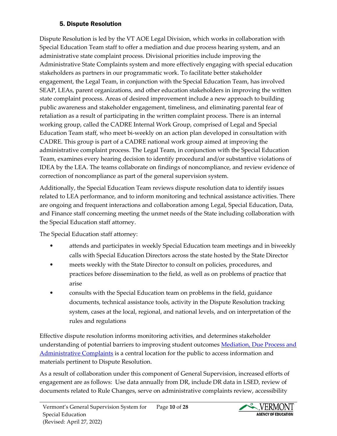## 5. Dispute Resolution

Dispute Resolution is led by the VT AOE Legal Division, which works in collaboration with Special Education Team staff to offer a mediation and due process hearing system, and an administrative state complaint process. Divisional priorities include improving the Administrative State Complaints system and more effectively engaging with special education stakeholders as partners in our programmatic work. To facilitate better stakeholder engagement, the Legal Team, in conjunction with the Special Education Team, has involved SEAP, LEAs, parent organizations, and other education stakeholders in improving the written state complaint process. Areas of desired improvement include a new approach to building public awareness and stakeholder engagement, timeliness, and eliminating parental fear of retaliation as a result of participating in the written complaint process. There is an internal working group, called the CADRE Internal Work Group, comprised of Legal and Special Education Team staff, who meet bi-weekly on an action plan developed in consultation with CADRE. This group is part of a CADRE national work group aimed at improving the administrative complaint process. The Legal Team, in conjunction with the Special Education Team, examines every hearing decision to identify procedural and/or substantive violations of IDEA by the LEA. The teams collaborate on findings of noncompliance, and review evidence of correction of noncompliance as part of the general supervision system.

Additionally, the Special Education Team reviews dispute resolution data to identify issues related to LEA performance, and to inform monitoring and technical assistance activities. There are ongoing and frequent interactions and collaboration among Legal, Special Education, Data, and Finance staff concerning meeting the unmet needs of the State including collaboration with the Special Education staff attorney.

The Special Education staff attorney:

- attends and participates in weekly Special Education team meetings and in biweekly calls with Special Education Directors across the state hosted by the State Director
- meets weekly with the State Director to consult on policies, procedures, and practices before dissemination to the field, as well as on problems of practice that arise
- consults with the Special Education team on problems in the field, guidance documents, technical assistance tools, activity in the Dispute Resolution tracking system, cases at the local, regional, and national levels, and on interpretation of the rules and regulations

Effective dispute resolution informs monitoring activities, and determines stakeholder understanding of potential barriers to improving student outcomes Mediation, Due Process and [Administrative Complaints](https://education.vermont.gov/student-support/vermont-special-education/resources-for-families/dispute-resolution) is a central location for the public to access information and materials pertinent to Dispute Resolution.

As a result of collaboration under this component of General Supervision, increased efforts of engagement are as follows: Use data annually from DR, include DR data in LSED, review of documents related to Rule Changes, serve on administrative complaints review, accessibility

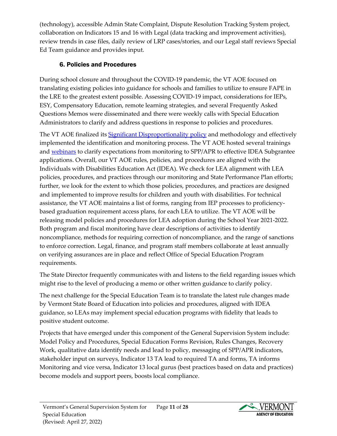(technology), accessible Admin State Complaint, Dispute Resolution Tracking System project, collaboration on Indicators 15 and 16 with Legal (data tracking and improvement activities), review trends in case files, daily review of LRP cases/stories, and our Legal staff reviews Special Ed Team guidance and provides input.

# 6. Policies and Procedures

During school closure and throughout the COVID-19 pandemic, the VT AOE focused on translating existing policies into guidance for schools and families to utilize to ensure FAPE in the LRE to the greatest extent possible. Assessing COVID-19 impact, considerations for IEPs, ESY, Compensatory Education, remote learning strategies, and several Frequently Asked Questions Memos were disseminated and there were weekly calls with Special Education Administrators to clarify and address questions in response to policies and procedures.

The VT AOE finalized its [Significant Disproportionality policy](https://education.vermont.gov/documents/memo-policy-and-procedures-significant-disproportionality-in-special-education) and methodology and effectively implemented the identification and monitoring process. The VT AOE hosted several trainings and [webinars](https://education.vermont.gov/student-support/vermont-special-education/recent-guidance-news-and-events) to clarify expectations from monitoring to SPP/APR to effective IDEA Subgrantee applications. Overall, our VT AOE rules, policies, and procedures are aligned with the Individuals with Disabilities Education Act (IDEA). We check for LEA alignment with LEA policies, procedures, and practices through our monitoring and State Performance Plan efforts; further, we look for the extent to which those policies, procedures, and practices are designed and implemented to improve results for children and youth with disabilities. For technical assistance, the VT AOE maintains a list of forms, ranging from IEP processes to proficiencybased graduation requirement access plans, for each LEA to utilize. The VT AOE will be releasing model policies and procedures for LEA adoption during the School Year 2021-2022. Both program and fiscal monitoring have clear descriptions of activities to identify noncompliance, methods for requiring correction of noncompliance, and the range of sanctions to enforce correction. Legal, finance, and program staff members collaborate at least annually on verifying assurances are in place and reflect Office of Special Education Program requirements.

The State Director frequently communicates with and listens to the field regarding issues which might rise to the level of producing a memo or other written guidance to clarify policy.

The next challenge for the Special Education Team is to translate the latest rule changes made by Vermont State Board of Education into policies and procedures, aligned with IDEA guidance, so LEAs may implement special education programs with fidelity that leads to positive student outcome.

Projects that have emerged under this component of the General Supervision System include: Model Policy and Procedures, Special Education Forms Revision, Rules Changes, Recovery Work, qualitative data identify needs and lead to policy, messaging of SPP/APR indicators, stakeholder input on surveys, Indicator 13 TA lead to required TA and forms, TA informs Monitoring and vice versa, Indicator 13 local gurus (best practices based on data and practices) become models and support peers, boosts local compliance.

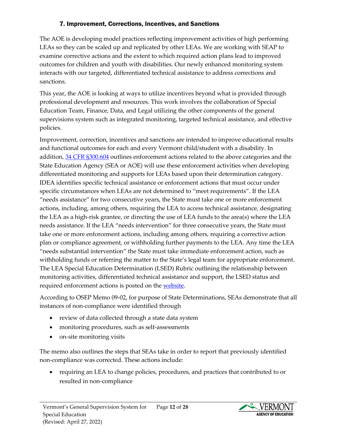#### 7. Improvement, Corrections, Incentives, and Sanctions

The AOE is developing model practices reflecting improvement activities of high performing LEAs so they can be scaled up and replicated by other LEAs. We are working with SEAP to examine corrective actions and the extent to which required action plans lead to improved outcomes for children and youth with disabilities. Our newly enhanced monitoring system interacts with our targeted, differentiated technical assistance to address corrections and sanctions.

This year, the AOE is looking at ways to utilize incentives beyond what is provided through professional development and resources. This work involves the collaboration of Special Education Team, Finance, Data, and Legal utilizing the other components of the general supervisions system such as integrated monitoring, targeted technical assistance, and effective policies.

Improvement, correction, incentives and sanctions are intended to improve educational results and functional outcomes for each and every Vermont child/student with a disability. In addition, [34 CFR §300.604](https://www.ecfr.gov/cgi-bin/retrieveECFR?gp=&SID=25d6eb4e645011f9cde905bd8644bc0f&mc=true&n=sp34.2.300.f&r=SUBPART&ty=HTML#se34.2.300_1604) outlines enforcement actions related to the above categories and the State Education Agency (SEA or AOE) will use these enforcement activities when developing differentiated monitoring and supports for LEAs based upon their determination category. IDEA identifies specific technical assistance or enforcement actions that must occur under specific circumstances when LEAs are not determined to "meet requirements". If the LEA "needs assistance" for two consecutive years, the State must take one or more enforcement actions, including, among others, requiring the LEA to access technical assistance, designating the LEA as a high-risk grantee, or directing the use of LEA funds to the area(s) where the LEA needs assistance. If the LEA "needs intervention" for three consecutive years, the State must take one or more enforcement actions, including among others, requiring a corrective action plan or compliance agreement, or withholding further payments to the LEA. Any time the LEA "needs substantial intervention" the State must take immediate enforcement action, such as withholding funds or referring the matter to the State's legal team for appropriate enforcement. The LEA Special Education Determination (LSED) Rubric outlining the relationship between monitoring activities, differentiated technical assistance and support, the LSED status and required enforcement actions is posted on th[e website.](https://education.vermont.gov/documents/edu-lea-special-education-determination-lsed-rubric)

According to OSEP Memo 09-02, for purpose of State Determinations, SEAs demonstrate that all instances of non-compliance were identified through

- review of data collected through a state data system
- monitoring procedures, such as self-assessments
- on-site monitoring visits

The memo also outlines the steps that SEAs take in order to report that previously identified non-compliance was corrected. These actions include:

• requiring an LEA to change policies, procedures, and practices that contributed to or resulted in non-compliance

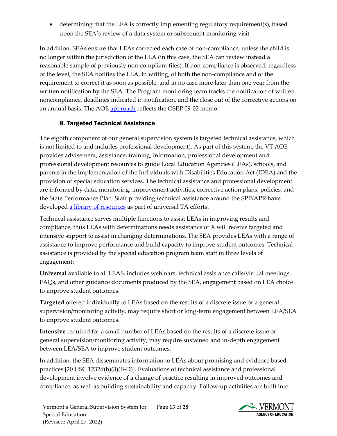• determining that the LEA is correctly implementing regulatory requirement(s), based upon the SEA's review of a data system or subsequent monitoring visit

In addition, SEAs ensure that LEAs corrected each case of non-compliance, unless the child is no longer within the jurisdiction of the LEA (in this case, the SEA can review instead a reasonable sample of previously non-compliant files). If non-compliance is observed, regardless of the level, the SEA notifies the LEA, in writing, of both the non-compliance and of the requirement to correct it as soon as possible, and in no case more later than one year from the written notification by the SEA. The Program monitoring team tracks the notification of written noncompliance, deadlines indicated in notification, and the close out of the corrective actions on an annual basis. The AOE [approach](https://education.vermont.gov/sites/aoe/files/documents/osep09-02timelycorrectionmemo.pdf) reflects the OSEP 09-02 memo.

## 8. Targeted Technical Assistance

The eighth component of our general supervision system is targeted technical assistance, which is not limited to and includes professional development). As part of this system, the VT AOE provides advisement, assistance, training, information, professional development and professional development resources to guide Local Education Agencies (LEAs), schools, and parents in the implementation of the Individuals with Disabilities Education Act (IDEA) and the provision of special education services. The technical assistance and professional development are informed by data, monitoring, improvement activities, corrective action plans, policies, and the State Performance Plan. Staff providing technical assistance around the SPP/APR have developed [a library of resources](https://education.vermont.gov/student-support/vermont-special-education/technical-assistance-requests-and-professional-development/state-performance-plan-resources-by-indicator#sped-resource-library) as part of universal TA efforts.

Technical assistance serves multiple functions to assist LEAs in improving results and compliance, thus LEAs with determinations needs assistance or X will receive targeted and intensive support to assist in changing determinations. The SEA provides LEAs with a range of assistance to improve performance and build capacity to improve student outcomes. Technical assistance is provided by the special education program team staff in three levels of engagement:

**Universal** available to all LEAS, includes webinars, technical assistance calls/virtual meetings, FAQs, and other guidance documents produced by the SEA, engagement based on LEA choice to improve student outcomes.

**Targeted** offered individually to LEAs based on the results of a discrete issue or a general supervision/monitoring activity, may require short or long-term engagement between LEA/SEA to improve student outcomes.

**Intensive** required for a small number of LEAs based on the results of a discrete issue or general supervision/monitoring activity, may require sustained and in-depth engagement between LEA/SEA to improve student outcomes.

In addition, the SEA disseminates information to LEAs about promising and evidence based practices [20 USC 1232d(b)(3)(B-D)]. Evaluations of technical assistance and professional development involve evidence of a change of practice resulting in improved outcomes and compliance, as well as building sustainability and capacity. Follow-up activities are built into

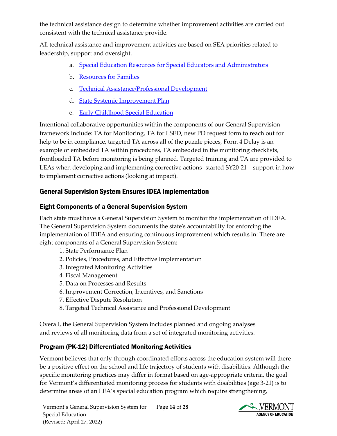the technical assistance design to determine whether improvement activities are carried out consistent with the technical assistance provide.

All technical assistance and improvement activities are based on SEA priorities related to leadership, support and oversight.

- a. [Special Education Resources for Special Educators and Administrators](https://education.vermont.gov/student-support/vermont-special-education/resources-for-special-educators-and-administrators)
- b. [Resources for Families](https://education.vermont.gov/student-support/vermont-special-education/resources-for-families)
- c. [Technical Assistance/Professional Development](https://education.vermont.gov/student-support/vermont-special-education/technical-assistance-requests-and-professional-development)
- d. [State Systemic Improvement Plan](https://education.vermont.gov/student-support/vermont-special-education/state-systemic-improvement-plan)
- e. [Early Childhood Special Education](https://education.vermont.gov/student-support/early-education/early-childhood-special-education)

Intentional collaborative opportunities within the components of our General Supervision framework include: TA for Monitoring, TA for LSED, new PD request form to reach out for help to be in compliance, targeted TA across all of the puzzle pieces, Form 4 Delay is an example of embedded TA within procedures, TA embedded in the monitoring checklists, frontloaded TA before monitoring is being planned. Targeted training and TA are provided to LEAs when developing and implementing corrective actions- started SY20-21—support in how to implement corrective actions (looking at impact).

# General Supervision System Ensures IDEA Implementation

# Eight Components of a General Supervision System

Each state must have a General Supervision System to monitor the implementation of IDEA. The General Supervision System documents the state's accountability for enforcing the implementation of IDEA and ensuring continuous improvement which results in: There are eight components of a General Supervision System:

- 1. State Performance Plan
- 2. Policies, Procedures, and Effective Implementation
- 3. Integrated Monitoring Activities
- 4. Fiscal Management
- 5. Data on Processes and Results
- 6. Improvement Correction, Incentives, and Sanctions
- 7. Effective Dispute Resolution
- 8. Targeted Technical Assistance and Professional Development

Overall, the General Supervision System includes planned and ongoing analyses and reviews of all monitoring data from a set of integrated monitoring activities.

# Program (PK-12) Differentiated Monitoring Activities

Vermont believes that only through coordinated efforts across the education system will there be a positive effect on the school and life trajectory of students with disabilities. Although the specific monitoring practices may differ in format based on age-appropriate criteria, the goal for Vermont's differentiated monitoring process for students with disabilities (age 3-21) is to determine areas of an LEA's special education program which require strengthening,

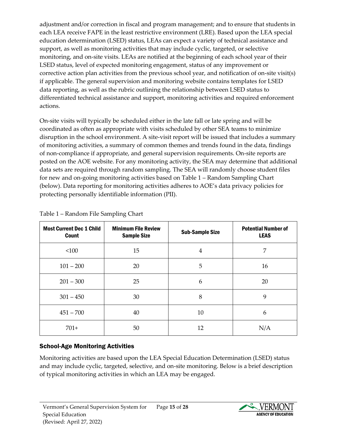adjustment and/or correction in fiscal and program management; and to ensure that students in each LEA receive FAPE in the least restrictive environment (LRE). Based upon the LEA special education determination (LSED) status, LEAs can expect a variety of technical assistance and support, as well as monitoring activities that may include cyclic, targeted, or selective monitoring, and on-site visits. LEAs are notified at the beginning of each school year of their LSED status, level of expected monitoring engagement, status of any improvement or corrective action plan activities from the previous school year, and notification of on-site visit(s) if applicable. The general supervision and monitoring website contains templates for LSED data reporting, as well as the rubric outlining the relationship between LSED status to differentiated technical assistance and support, monitoring activities and required enforcement actions.

On-site visits will typically be scheduled either in the late fall or late spring and will be coordinated as often as appropriate with visits scheduled by other SEA teams to minimize disruption in the school environment. A site-visit report will be issued that includes a summary of monitoring activities, a summary of common themes and trends found in the data, findings of non-compliance if appropriate, and general supervision requirements. On-site reports are posted on the AOE website. For any monitoring activity, the SEA may determine that additional data sets are required through random sampling. The SEA will randomly choose student files for new and on-going monitoring activities based on Table 1 – Random Sampling Chart (below). Data reporting for monitoring activities adheres to AOE's data privacy policies for protecting personally identifiable information (PII).

| <b>Most Current Dec 1 Child</b><br><b>Count</b> | <b>Minimum File Review</b><br><b>Sample Size</b> | <b>Sub-Sample Size</b> | <b>Potential Number of</b><br><b>LEAS</b> |
|-------------------------------------------------|--------------------------------------------------|------------------------|-------------------------------------------|
| < 100                                           | 15                                               | 4                      | 7                                         |
| $101 - 200$                                     | 20                                               | 5                      | 16                                        |
| $201 - 300$                                     | 25                                               | 6                      | 20                                        |
| $301 - 450$                                     | 30                                               | 8                      | 9                                         |
| $451 - 700$                                     | 40                                               | 10                     | 6                                         |
| $701+$                                          | 50                                               | 12                     | N/A                                       |

Table 1 – Random File Sampling Chart

# School-Age Monitoring Activities

Monitoring activities are based upon the LEA Special Education Determination (LSED) status and may include cyclic, targeted, selective, and on-site monitoring. Below is a brief description of typical monitoring activities in which an LEA may be engaged.

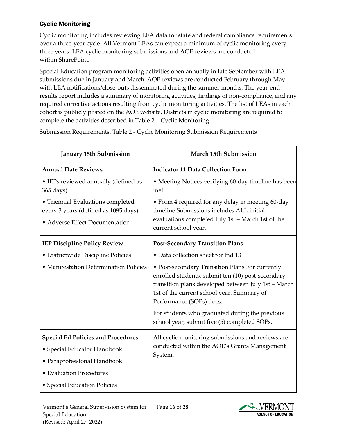#### Cyclic Monitoring

Cyclic monitoring includes reviewing LEA data for state and federal compliance requirements over a three-year cycle. All Vermont LEAs can expect a minimum of cyclic monitoring every three years. LEA cyclic monitoring submissions and AOE reviews are conducted within SharePoint.

Special Education program monitoring activities open annually in late September with LEA submissions due in January and March. AOE reviews are conducted February through May with LEA notifications/close-outs disseminated during the summer months. The year-end results report includes a summary of monitoring activities, findings of non-compliance, and any required corrective actions resulting from cyclic monitoring activities. The list of LEAs in each cohort is publicly posted on the AOE website. Districts in cyclic monitoring are required to complete the activities described in Table 2 – Cyclic Monitoring.

Submission Requirements. Table 2 - Cyclic Monitoring Submission Requirements

| January 15th Submission                                                                                     | <b>March 15th Submission</b>                                                                                                                                                                                                          |
|-------------------------------------------------------------------------------------------------------------|---------------------------------------------------------------------------------------------------------------------------------------------------------------------------------------------------------------------------------------|
| <b>Annual Date Reviews</b>                                                                                  | <b>Indicator 11 Data Collection Form</b>                                                                                                                                                                                              |
| • IEPs reviewed annually (defined as<br>365 days)                                                           | • Meeting Notices verifying 60-day timeline has been<br>met                                                                                                                                                                           |
| • Triennial Evaluations completed<br>every 3 years (defined as 1095 days)<br>• Adverse Effect Documentation | • Form 4 required for any delay in meeting 60-day<br>timeline Submissions includes ALL initial<br>evaluations completed July 1st - March 1st of the<br>current school year.                                                           |
| <b>IEP Discipline Policy Review</b>                                                                         | <b>Post-Secondary Transition Plans</b>                                                                                                                                                                                                |
| • Districtwide Discipline Policies                                                                          | • Data collection sheet for Ind 13                                                                                                                                                                                                    |
| • Manifestation Determination Policies                                                                      | • Post-secondary Transition Plans For currently<br>enrolled students, submit ten (10) post-secondary<br>transition plans developed between July 1st - March<br>1st of the current school year. Summary of<br>Performance (SOPs) docs. |
|                                                                                                             | For students who graduated during the previous<br>school year, submit five (5) completed SOPs.                                                                                                                                        |
| <b>Special Ed Policies and Procedures</b><br>• Special Educator Handbook<br>• Paraprofessional Handbook     | All cyclic monitoring submissions and reviews are<br>conducted within the AOE's Grants Management<br>System.                                                                                                                          |
| • Evaluation Procedures                                                                                     |                                                                                                                                                                                                                                       |
| • Special Education Policies                                                                                |                                                                                                                                                                                                                                       |

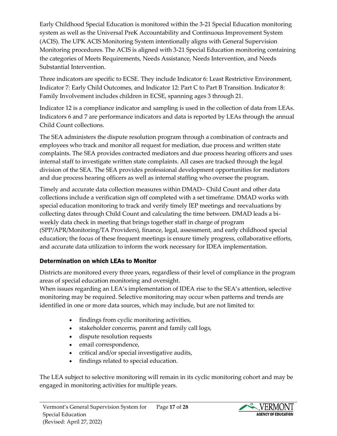Early Childhood Special Education is monitored within the 3-21 Special Education monitoring system as well as the Universal PreK Accountability and Continuous Improvement System (ACIS). The UPK ACIS Monitoring System intentionally aligns with General Supervision Monitoring procedures. The ACIS is aligned with 3-21 Special Education monitoring containing the categories of Meets Requirements, Needs Assistance, Needs Intervention, and Needs Substantial Intervention.

Three indicators are specific to ECSE. They include Indicator 6: Least Restrictive Environment, Indicator 7: Early Child Outcomes, and Indicator 12: Part C to Part B Transition. Indicator 8: Family Involvement includes children in ECSE, spanning ages 3 through 21.

Indicator 12 is a compliance indicator and sampling is used in the collection of data from LEAs. Indicators 6 and 7 are performance indicators and data is reported by LEAs through the annual Child Count collections.

The SEA administers the dispute resolution program through a combination of contracts and employees who track and monitor all request for mediation, due process and written state complaints. The SEA provides contracted mediators and due process hearing officers and uses internal staff to investigate written state complaints. All cases are tracked through the legal division of the SEA. The SEA provides professional development opportunities for mediators and due process hearing officers as well as internal staffing who oversee the program.

Timely and accurate data collection measures within DMAD– Child Count and other data collections include a verification sign off completed with a set timeframe. DMAD works with special education monitoring to track and verify timely IEP meetings and reevaluations by collecting dates through Child Count and calculating the time between. DMAD leads a biweekly data check in meeting that brings together staff in charge of program (SPP/APR/Monitoring/TA Providers), finance, legal, assessment, and early childhood special education; the focus of these frequent meetings is ensure timely progress, collaborative efforts, and accurate data utilization to inform the work necessary for IDEA implementation.

#### Determination on which LEAs to Monitor

Districts are monitored every three years, regardless of their level of compliance in the program areas of special education monitoring and oversight.

When issues regarding an LEA's implementation of IDEA rise to the SEA's attention, selective monitoring may be required. Selective monitoring may occur when patterns and trends are identified in one or more data sources, which may include, but are not limited to:

- findings from cyclic monitoring activities,
- stakeholder concerns, parent and family call logs,
- dispute resolution requests
- email correspondence,
- critical and/or special investigative audits,
- findings related to special education.

The LEA subject to selective monitoring will remain in its cyclic monitoring cohort and may be engaged in monitoring activities for multiple years.

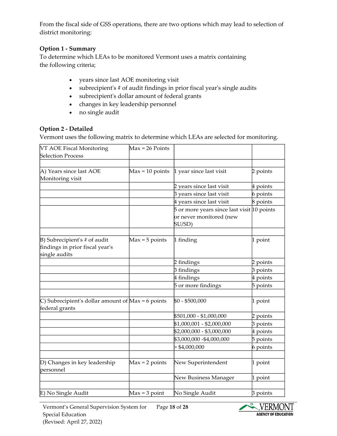From the fiscal side of GSS operations, there are two options which may lead to selection of district monitoring:

#### **Option 1 - Summary**

To determine which LEAs to be monitored Vermont uses a matrix containing the following criteria;

- years since last AOE monitoring visit
- subrecipient's # of audit findings in prior fiscal year's single audits
- subrecipient's dollar amount of federal grants
- changes in key leadership personnel
- no single audit

#### **Option 2 - Detailed**

Vermont uses the following matrix to determine which LEAs are selected for monitoring.

| VT AOE Fiscal Monitoring<br><b>Selection Process</b>                             | $Max = 26$ Points |                                                                                 |          |
|----------------------------------------------------------------------------------|-------------------|---------------------------------------------------------------------------------|----------|
|                                                                                  |                   |                                                                                 |          |
| A) Years since last AOE<br>Monitoring visit                                      | $Max = 10 points$ | 1 year since last visit                                                         | 2 points |
|                                                                                  |                   | 2 years since last visit                                                        | 4 points |
|                                                                                  |                   | 3 years since last visit                                                        | 6 points |
|                                                                                  |                   | 4 years since last visit                                                        | 8 points |
|                                                                                  |                   | 5 or more years since last visit 10 points<br>or never monitored (new<br>SU/SD) |          |
|                                                                                  |                   |                                                                                 |          |
| B) Subrecipient's # of audit<br>findings in prior fiscal year's<br>single audits | $Max = 5$ points  | 1 finding                                                                       | 1 point  |
|                                                                                  |                   | 2 findings                                                                      | 2 points |
|                                                                                  |                   | 3 findings                                                                      | 3 points |
|                                                                                  |                   | 4 findings                                                                      | 4 points |
|                                                                                  |                   | 5 or more findings                                                              | 5 points |
| C) Subrecipient's dollar amount of $Max = 6$ points<br>federal grants            |                   | \$0 - \$500,000                                                                 | 1 point  |
|                                                                                  |                   | \$501,000 - \$1,000,000                                                         | 2 points |
|                                                                                  |                   | \$1,000,001 - \$2,000,000                                                       | 3 points |
|                                                                                  |                   | \$2,000,000 - \$3,000,000                                                       | 4 points |
|                                                                                  |                   | \$3,000,000 - \$4,000,000                                                       | 5 points |
|                                                                                  |                   | $>$ \$4,000,000                                                                 | 6 points |
| D) Changes in key leadership<br>personnel                                        | $Max = 2 points$  | New Superintendent                                                              | 1 point  |
|                                                                                  |                   | New Business Manager                                                            | 1 point  |
| E) No Single Audit                                                               | $Max = 3 point$   | No Single Audit                                                                 | 3 points |

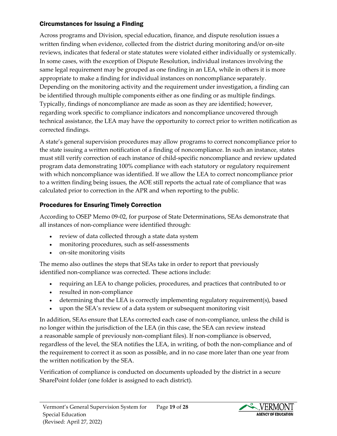#### Circumstances for Issuing a Finding

Across programs and Division, special education, finance, and dispute resolution issues a written finding when evidence, collected from the district during monitoring and/or on-site reviews, indicates that federal or state statutes were violated either individually or systemically. In some cases, with the exception of Dispute Resolution, individual instances involving the same legal requirement may be grouped as one finding in an LEA, while in others it is more appropriate to make a finding for individual instances on noncompliance separately. Depending on the monitoring activity and the requirement under investigation, a finding can be identified through multiple components either as one finding or as multiple findings. Typically, findings of noncompliance are made as soon as they are identified; however, regarding work specific to compliance indicators and noncompliance uncovered through technical assistance, the LEA may have the opportunity to correct prior to written notification as corrected findings.

A state's general supervision procedures may allow programs to correct noncompliance prior to the state issuing a written notification of a finding of noncompliance. In such an instance, states must still verify correction of each instance of child-specific noncompliance and review updated program data demonstrating 100% compliance with each statutory or regulatory requirement with which noncompliance was identified. If we allow the LEA to correct noncompliance prior to a written finding being issues, the AOE still reports the actual rate of compliance that was calculated prior to correction in the APR and when reporting to the public.

## Procedures for Ensuring Timely Correction

According to OSEP Memo 09-02, for purpose of State Determinations, SEAs demonstrate that all instances of non-compliance were identified through:

- review of data collected through a state data system
- monitoring procedures, such as self-assessments
- on-site monitoring visits

The memo also outlines the steps that SEAs take in order to report that previously identified non-compliance was corrected. These actions include:

- requiring an LEA to change policies, procedures, and practices that contributed to or
- resulted in non-compliance
- determining that the LEA is correctly implementing regulatory requirement(s), based
- upon the SEA's review of a data system or subsequent monitoring visit

In addition, SEAs ensure that LEAs corrected each case of non-compliance, unless the child is no longer within the jurisdiction of the LEA (in this case, the SEA can review instead a reasonable sample of previously non-compliant files). If non-compliance is observed, regardless of the level, the SEA notifies the LEA, in writing, of both the non-compliance and of the requirement to correct it as soon as possible, and in no case more later than one year from the written notification by the SEA.

Verification of compliance is conducted on documents uploaded by the district in a secure SharePoint folder (one folder is assigned to each district).

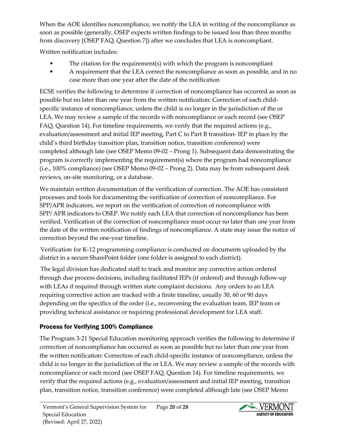When the AOE identifies noncompliance, we notify the LEA in writing of the noncompliance as soon as possible (generally, OSEP expects written findings to be issued less than three months from discovery [OSEP FAQ, Question 7]) after we concludes that LEA is noncompliant.

Written notification includes:

- The citation for the requirement $(s)$  with which the program is noncompliant
- A requirement that the LEA correct the noncompliance as soon as possible, and in no case more than one year after the date of the notification

ECSE verifies the following to determine if correction of noncompliance has occurred as soon as possible but no later than one year from the written notification: Correction of each childspecific instance of noncompliance, unless the child is no longer in the jurisdiction of the or LEA. We may review a sample of the records with noncompliance or each record (see OSEP FAQ, Question 14). For timeline requirements, we verify that the required actions (e.g., evaluation/assessment and initial IEP meeting, Part C to Part B transition- IEP in place by the child's third birthday transition plan, transition notice, transition conference) were completed although late (see OSEP Memo 09-02 – Prong 1). Subsequent data demonstrating the program is correctly implementing the requirement(s) where the program had noncompliance (i.e., 100% compliance) (see OSEP Memo 09-02 – Prong 2). Data may be from subsequent desk reviews, on-site monitoring, or a database.

We maintain written documentation of the verification of correction. The AOE has consistent processes and tools for documenting the verification of correction of noncompliance. For SPP/APR indicators, we report on the verification of correction of noncompliance with SPP/ APR indicators to OSEP. We notify each LEA that correction of noncompliance has been verified. Verification of the correction of noncompliance must occur no later than one year from the date of the written notification of findings of noncompliance. A state may issue the notice of correction beyond the one-year timeline.

Verification for K-12 programming compliance is conducted on documents uploaded by the district in a secure SharePoint folder (one folder is assigned to each district).

The legal division has dedicated staff to track and monitor any corrective action ordered through due process decisions, including facilitated IEPs (if ordered) and through follow-up with LEAs if required through written state complaint decisions. Any orders to an LEA requiring corrective action are tracked with a finite timeline, usually 30, 60 or 90 days depending on the specifics of the order (i.e., reconvening the evaluation team, IEP team or providing technical assistance or requiring professional development for LEA staff.

# Process for Verifying 100% Compliance

The Program 3-21 Special Education monitoring approach verifies the following to determine if correction of noncompliance has occurred as soon as possible but no later than one year from the written notification: Correction of each child-specific instance of noncompliance, unless the child is no longer in the jurisdiction of the or LEA. We may review a sample of the records with noncompliance or each record (see OSEP FAQ, Question 14). For timeline requirements, we verify that the required actions (e.g., evaluation/assessment and initial IEP meeting, transition plan, transition notice, transition conference) were completed although late (see OSEP Memo

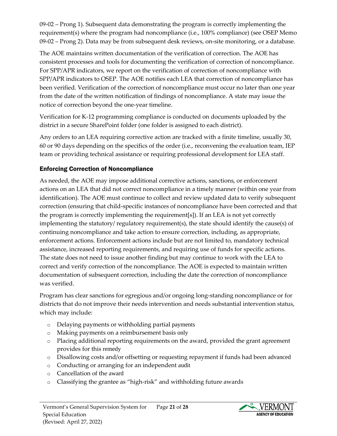09-02 – Prong 1). Subsequent data demonstrating the program is correctly implementing the requirement(s) where the program had noncompliance (i.e., 100% compliance) (see OSEP Memo 09-02 – Prong 2). Data may be from subsequent desk reviews, on-site monitoring, or a database.

The AOE maintains written documentation of the verification of correction. The AOE has consistent processes and tools for documenting the verification of correction of noncompliance. For SPP/APR indicators, we report on the verification of correction of noncompliance with SPP/APR indicators to OSEP. The AOE notifies each LEA that correction of noncompliance has been verified. Verification of the correction of noncompliance must occur no later than one year from the date of the written notification of findings of noncompliance. A state may issue the notice of correction beyond the one-year timeline.

Verification for K-12 programming compliance is conducted on documents uploaded by the district in a secure SharePoint folder (one folder is assigned to each district).

Any orders to an LEA requiring corrective action are tracked with a finite timeline, usually 30, 60 or 90 days depending on the specifics of the order (i.e., reconvening the evaluation team, IEP team or providing technical assistance or requiring professional development for LEA staff.

## Enforcing Correction of Noncompliance

As needed, the AOE may impose additional corrective actions, sanctions, or enforcement actions on an LEA that did not correct noncompliance in a timely manner (within one year from identification). The AOE must continue to collect and review updated data to verify subsequent correction (ensuring that child-specific instances of noncompliance have been corrected and that the program is correctly implementing the requirement[s]). If an LEA is not yet correctly implementing the statutory/ regulatory requirement(s), the state should identify the cause(s) of continuing noncompliance and take action to ensure correction, including, as appropriate, enforcement actions. Enforcement actions include but are not limited to, mandatory technical assistance, increased reporting requirements, and requiring use of funds for specific actions. The state does not need to issue another finding but may continue to work with the LEA to correct and verify correction of the noncompliance. The AOE is expected to maintain written documentation of subsequent correction, including the date the correction of noncompliance was verified.

Program has clear sanctions for egregious and/or ongoing long-standing noncompliance or for districts that do not improve their needs intervention and needs substantial intervention status, which may include:

- o Delaying payments or withholding partial payments
- o Making payments on a reimbursement basis only
- o Placing additional reporting requirements on the award, provided the grant agreement provides for this remedy
- o Disallowing costs and/or offsetting or requesting repayment if funds had been advanced
- o Conducting or arranging for an independent audit
- o Cancellation of the award
- o Classifying the grantee as "high-risk" and withholding future awards

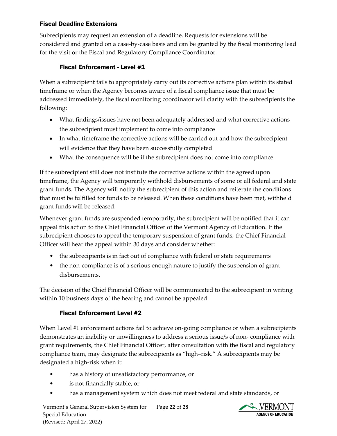#### Fiscal Deadline Extensions

Subrecipients may request an extension of a deadline. Requests for extensions will be considered and granted on a case-by-case basis and can be granted by the fiscal monitoring lead for the visit or the Fiscal and Regulatory Compliance Coordinator.

#### Fiscal Enforcement - Level #1

When a subrecipient fails to appropriately carry out its corrective actions plan within its stated timeframe or when the Agency becomes aware of a fiscal compliance issue that must be addressed immediately, the fiscal monitoring coordinator will clarify with the subrecipients the following:

- What findings/issues have not been adequately addressed and what corrective actions the subrecipient must implement to come into compliance
- In what timeframe the corrective actions will be carried out and how the subrecipient will evidence that they have been successfully completed
- What the consequence will be if the subrecipient does not come into compliance.

If the subrecipient still does not institute the corrective actions within the agreed upon timeframe, the Agency will temporarily withhold disbursements of some or all federal and state grant funds. The Agency will notify the subrecipient of this action and reiterate the conditions that must be fulfilled for funds to be released. When these conditions have been met, withheld grant funds will be released.

Whenever grant funds are suspended temporarily, the subrecipient will be notified that it can appeal this action to the Chief Financial Officer of the Vermont Agency of Education. If the subrecipient chooses to appeal the temporary suspension of grant funds, the Chief Financial Officer will hear the appeal within 30 days and consider whether:

- the subrecipients is in fact out of compliance with federal or state requirements
- the non-compliance is of a serious enough nature to justify the suspension of grant disbursements.

The decision of the Chief Financial Officer will be communicated to the subrecipient in writing within 10 business days of the hearing and cannot be appealed.

#### Fiscal Enforcement Level #2

When Level #1 enforcement actions fail to achieve on-going compliance or when a subrecipients demonstrates an inability or unwillingness to address a serious issue/s of non- compliance with grant requirements, the Chief Financial Officer, after consultation with the fiscal and regulatory compliance team, may designate the subrecipients as "high–risk." A subrecipients may be designated a high-risk when it:

- has a history of unsatisfactory performance, or
- is not financially stable, or
- has a management system which does not meet federal and state standards, or

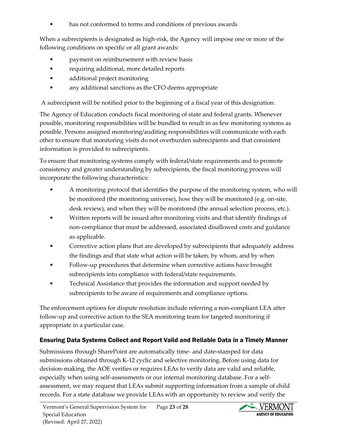has not conformed to terms and conditions of previous awards

When a subrecipients is designated as high-risk, the Agency will impose one or more of the following conditions on specific or all grant awards:

- payment on reimbursement with review basis
- requiring additional, more detailed reports
- additional project monitoring
- any additional sanctions as the CFO deems appropriate

A subrecipient will be notified prior to the beginning of a fiscal year of this designation.

The Agency of Education conducts fiscal monitoring of state and federal grants. Whenever possible, monitoring responsibilities will be bundled to result in as few monitoring systems as possible. Persons assigned monitoring/auditing responsibilities will communicate with each other to ensure that monitoring visits do not overburden subrecipients and that consistent information is provided to subrecipients.

To ensure that monitoring systems comply with federal/state requirements and to promote consistency and greater understanding by subrecipients, the fiscal monitoring process will incorporate the following characteristics:

- A monitoring protocol that identifies the purpose of the monitoring system, who will be monitored (the monitoring universe), how they will be monitored (e.g. on-site, desk review), and when they will be monitored (the annual selection process, etc.).
- Written reports will be issued after monitoring visits and that identify findings of non-compliance that must be addressed, associated disallowed costs and guidance as applicable.
- Corrective action plans that are developed by subrecipients that adequately address the findings and that state what action will be taken, by whom, and by when
- Follow-up procedures that determine when corrective actions have brought subrecipients into compliance with federal/state requirements.
- Technical Assistance that provides the information and support needed by subrecipients to be aware of requirements and compliance options.

The enforcement options for dispute resolution include referring a non-compliant LEA after follow-up and corrective action to the SEA monitoring team for targeted monitoring if appropriate in a particular case.

# Ensuring Data Systems Collect and Report Valid and Reliable Data in a Timely Manner

Submissions through SharePoint are automatically time- and date-stamped for data submissions obtained through K-12 cyclic and selective monitoring. Before using data for decision-making, the AOE verifies or requires LEAs to verify data are valid and reliable, especially when using self-assessments or our internal monitoring database. For a selfassessment, we may request that LEAs submit supporting information from a sample of child records. For a state database we provide LEAs with an opportunity to review and verify the

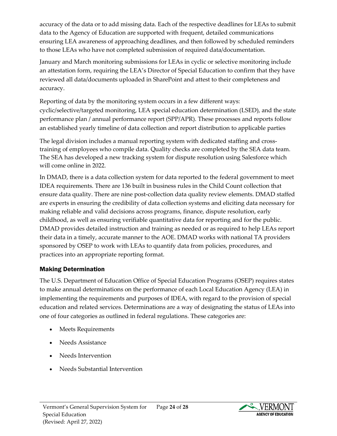accuracy of the data or to add missing data. Each of the respective deadlines for LEAs to submit data to the Agency of Education are supported with frequent, detailed communications ensuring LEA awareness of approaching deadlines, and then followed by scheduled reminders to those LEAs who have not completed submission of required data/documentation.

January and March monitoring submissions for LEAs in cyclic or selective monitoring include an attestation form, requiring the LEA's Director of Special Education to confirm that they have reviewed all data/documents uploaded in SharePoint and attest to their completeness and accuracy.

Reporting of data by the monitoring system occurs in a few different ways: cyclic/selective/targeted monitoring, LEA special education determination (LSED), and the state performance plan / annual performance report (SPP/APR). These processes and reports follow an established yearly timeline of data collection and report distribution to applicable parties

The legal division includes a manual reporting system with dedicated staffing and crosstraining of employees who compile data. Quality checks are completed by the SEA data team. The SEA has developed a new tracking system for dispute resolution using Salesforce which will come online in 2022.

In DMAD, there is a data collection system for data reported to the federal government to meet IDEA requirements. There are 136 built in business rules in the Child Count collection that ensure data quality. There are nine post-collection data quality review elements. DMAD staffed are experts in ensuring the credibility of data collection systems and eliciting data necessary for making reliable and valid decisions across programs, finance, dispute resolution, early childhood, as well as ensuring verifiable quantitative data for reporting and for the public. DMAD provides detailed instruction and training as needed or as required to help LEAs report their data in a timely, accurate manner to the AOE. DMAD works with national TA providers sponsored by OSEP to work with LEAs to quantify data from policies, procedures, and practices into an appropriate reporting format.

#### Making Determination

The U.S. Department of Education Office of Special Education Programs (OSEP) requires states to make annual determinations on the performance of each Local Education Agency (LEA) in implementing the requirements and purposes of IDEA, with regard to the provision of special education and related services. Determinations are a way of designating the status of LEAs into one of four categories as outlined in federal regulations. These categories are:

- Meets Requirements
- Needs Assistance
- Needs Intervention
- Needs Substantial Intervention

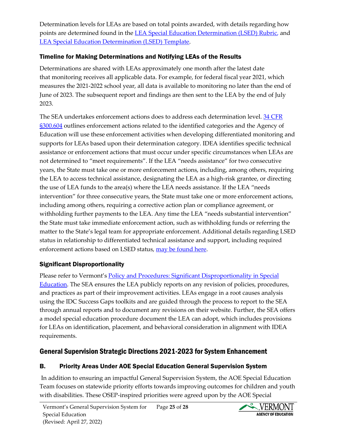Determination levels for LEAs are based on total points awarded, with details regarding how points are determined found in the [LEA Special Education Determination \(LSED\) Rubric,](https://education.vermont.gov/documents/edu-lea-special-education-determination-lsed-rubric) and [LEA Special Education Determination \(LSED\) Template.](https://education.vermont.gov/documents/edu-lea-special-education-determination-lsed-template)

## Timeline for Making Determinations and Notifying LEAs of the Results

Determinations are shared with LEAs approximately one month after the latest date that monitoring receives all applicable data. For example, for federal fiscal year 2021, which measures the 2021-2022 school year, all data is available to monitoring no later than the end of June of 2023. The subsequent report and findings are then sent to the LEA by the end of July 2023.

The SEA undertakes enforcement actions does to address each determination level. 34 CFR [§300.604](https://www.ecfr.gov/cgi-bin/retrieveECFR?gp=&SID=25d6eb4e645011f9cde905bd8644bc0f&mc=true&n=sp34.2.300.f&r=SUBPART&ty=HTML#se34.2.300_1604) outlines enforcement actions related to the identified categories and the Agency of Education will use these enforcement activities when developing differentiated monitoring and supports for LEAs based upon their determination category. IDEA identifies specific technical assistance or enforcement actions that must occur under specific circumstances when LEAs are not determined to "meet requirements". If the LEA "needs assistance" for two consecutive years, the State must take one or more enforcement actions, including, among others, requiring the LEA to access technical assistance, designating the LEA as a high-risk grantee, or directing the use of LEA funds to the area(s) where the LEA needs assistance. If the LEA "needs intervention" for three consecutive years, the State must take one or more enforcement actions, including among others, requiring a corrective action plan or compliance agreement, or withholding further payments to the LEA. Any time the LEA "needs substantial intervention" the State must take immediate enforcement action, such as withholding funds or referring the matter to the State's legal team for appropriate enforcement. Additional details regarding LSED status in relationship to differentiated technical assistance and support, including required enforcement actions based on LSED status, [may be found here.](https://education.vermont.gov/documents/edu-lea-special-education-determination-lsed-rubric)

# Significant Disproportionality

Please refer to Vermont's [Policy and Procedures: Significant Disproportionality in Special](https://education.vermont.gov/documents/memo-policy-and-procedures-significant-disproportionality-in-special-education)  [Education.](https://education.vermont.gov/documents/memo-policy-and-procedures-significant-disproportionality-in-special-education) The SEA ensures the LEA publicly reports on any revision of policies, procedures, and practices as part of their improvement activities. LEAs engage in a root causes analysis using the IDC Success Gaps toolkits and are guided through the process to report to the SEA through annual reports and to document any revisions on their website. Further, the SEA offers a model special education procedure document the LEA can adopt, which includes provisions for LEAs on identification, placement, and behavioral consideration in alignment with IDEA requirements.

# General Supervision Strategic Directions 2021-2023 for System Enhancement

# B. Priority Areas Under AOE Special Education General Supervision System

In addition to ensuring an impactful General Supervision System, the AOE Special Education Team focuses on statewide priority efforts towards improving outcomes for children and youth with disabilities. These OSEP-inspired priorities were agreed upon by the AOE Special

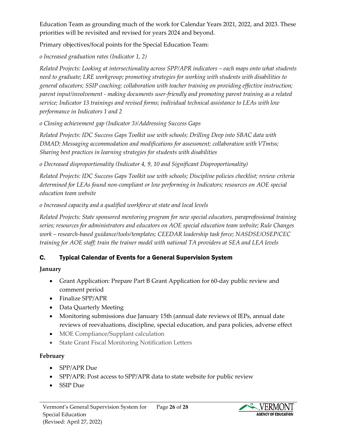Education Team as grounding much of the work for Calendar Years 2021, 2022, and 2023. These priorities will be revisited and revised for years 2024 and beyond.

Primary objectives/focal points for the Special Education Team:

*o Increased graduation rates (Indicator 1, 2)*

*Related Projects: Looking at intersectionality across SPP/APR indicators – each maps onto what students need to graduate; LRE workgroup; promoting strategies for working with students with disabilities to general educators; SSIP coaching; collaboration with teacher training on providing effective instruction; parent input/involvement - making documents user-friendly and promoting parent training as a related service; Indicator 13 trainings and revised forms; individual technical assistance to LEAs with low performance in Indicators 1 and 2*

*o Closing achievement gap (Indicator 3)/Addressing Success Gaps*

*Related Projects: IDC Success Gaps Toolkit use with schools; Drilling Deep into SBAC data with DMAD; Messaging accommodation and modifications for assessment; collaboration with VTmtss; Sharing best practices in learning strategies for students with disabilities*

*o Decreased disproportionality (Indicator 4, 9, 10 and Significant Disproportionality)*

*Related Projects: IDC Success Gaps Toolkit use with schools; Discipline policies checklist; review criteria determined for LEAs found non-compliant or low performing in Indicators; resources on AOE special education team website*

*o Increased capacity and a qualified workforce at state and local levels* 

*Related Projects: State sponsored mentoring program for new special educators, paraprofessional training series; resources for administrators and educators on AOE special education team website; Rule Changes work – research-based guidance/tools/templates; CEEDAR leadership task force; NASDSE/OSEP/CEC training for AOE staff; train the trainer model with national TA providers at SEA and LEA levels*

# C. Typical Calendar of Events for a General Supervision System

# **January**

- Grant Application: Prepare Part B Grant Application for 60-day public review and comment period
- Finalize SPP/APR
- Data Quarterly Meeting
- Monitoring submissions due January 15th (annual date reviews of IEPs, annual date reviews of reevaluations, discipline, special education, and para policies, adverse effect
- MOE Compliance/Supplant calculation
- State Grant Fiscal Monitoring Notification Letters

# **February**

- SPP/APR Due
- SPP/APR: Post access to SPP/APR data to state website for public review
- SSIP Due

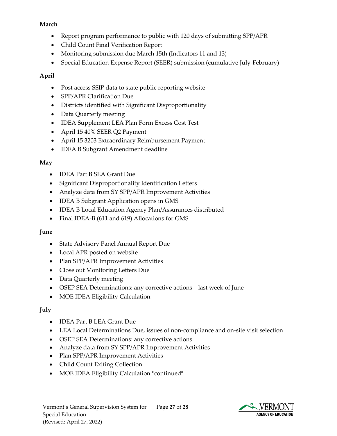#### **March**

- Report program performance to public with 120 days of submitting SPP/APR
- Child Count Final Verification Report
- Monitoring submission due March 15th (Indicators 11 and 13)
- Special Education Expense Report (SEER) submission (cumulative July-February)

## **April**

- Post access SSIP data to state public reporting website
- SPP/APR Clarification Due
- Districts identified with Significant Disproportionality
- Data Quarterly meeting
- IDEA Supplement LEA Plan Form Excess Cost Test
- April 15 40% SEER Q2 Payment
- April 15 3203 Extraordinary Reimbursement Payment
- IDEA B Subgrant Amendment deadline

## **May**

- IDEA Part B SEA Grant Due
- Significant Disproportionality Identification Letters
- Analyze data from SY SPP/APR Improvement Activities
- IDEA B Subgrant Application opens in GMS
- IDEA B Local Education Agency Plan/Assurances distributed
- Final IDEA-B (611 and 619) Allocations for GMS

# **June**

- State Advisory Panel Annual Report Due
- Local APR posted on website
- Plan SPP/APR Improvement Activities
- Close out Monitoring Letters Due
- Data Quarterly meeting
- OSEP SEA Determinations: any corrective actions last week of June
- MOE IDEA Eligibility Calculation

# **July**

- IDEA Part B LEA Grant Due
- LEA Local Determinations Due, issues of non-compliance and on-site visit selection
- OSEP SEA Determinations: any corrective actions
- Analyze data from SY SPP/APR Improvement Activities
- Plan SPP/APR Improvement Activities
- Child Count Exiting Collection
- MOE IDEA Eligibility Calculation \*continued\*